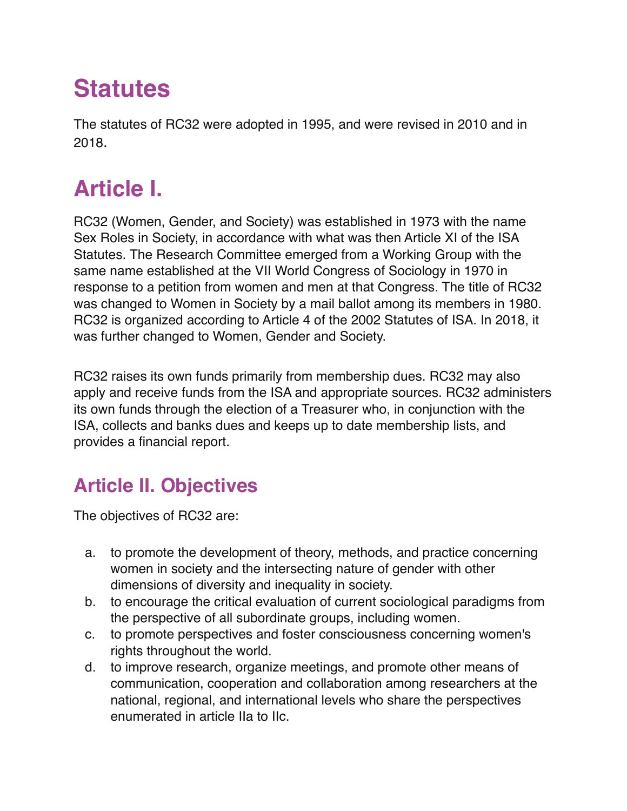# **Statutes**

The statutes of RC32 were adopted in 1995, and were revised in 2010 and in 2018.

## **Article I.**

RC32 (Women, Gender, and Society) was established in 1973 with the name Sex Roles in Society, in accordance with what was then Article XI of the ISA Statutes. The Research Committee emerged from a Working Group with the same name established at the VII World Congress of Sociology in 1970 in response to a petition from women and men at that Congress. The title of RC32 was changed to Women in Society by a mail ballot among its members in 1980. RC32 is organized according to Article 4 of the 2002 Statutes of ISA. In 2018, it was further changed to Women, Gender and Society.

RC32 raises its own funds primarily from membership dues. RC32 may also apply and receive funds from the ISA and appropriate sources. RC32 administers its own funds through the election of a Treasurer who, in conjunction with the ISA, collects and banks dues and keeps up to date membership lists, and provides a financial report.

### **Article II. Objectives**

The objectives of RC32 are:

- a. to promote the development of theory, methods, and practice concerning women in society and the intersecting nature of gender with other dimensions of diversity and inequality in society.
- b. to encourage the critical evaluation of current sociological paradigms from the perspective of all subordinate groups, including women.
- c. to promote perspectives and foster consciousness concerning women's rights throughout the world.
- d. to improve research, organize meetings, and promote other means of communication, cooperation and collaboration among researchers at the national, regional, and international levels who share the perspectives enumerated in article IIa to IIc.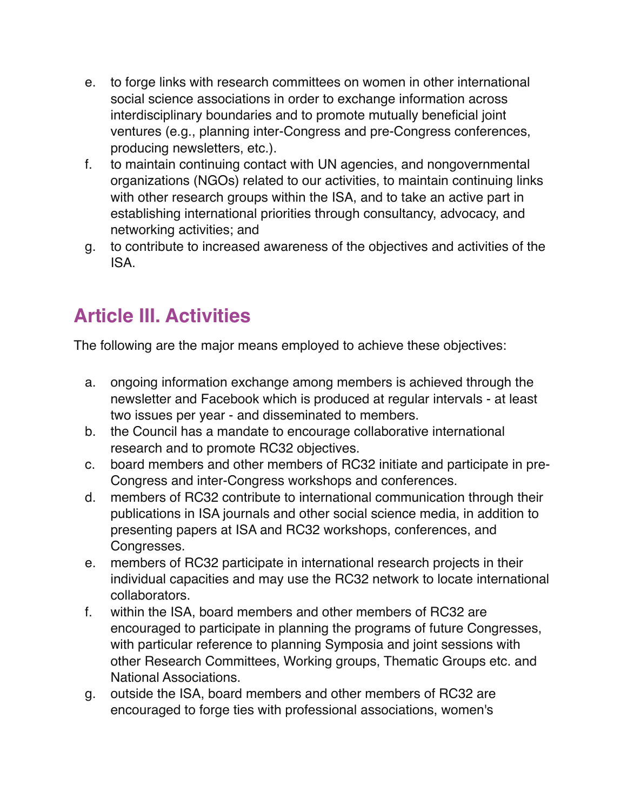- e. to forge links with research committees on women in other international social science associations in order to exchange information across interdisciplinary boundaries and to promote mutually beneficial joint ventures (e.g., planning inter-Congress and pre-Congress conferences, producing newsletters, etc.).
- f. to maintain continuing contact with UN agencies, and nongovernmental organizations (NGOs) related to our activities, to maintain continuing links with other research groups within the ISA, and to take an active part in establishing international priorities through consultancy, advocacy, and networking activities; and
- g. to contribute to increased awareness of the objectives and activities of the ISA.

#### **Article III. Activities**

The following are the major means employed to achieve these objectives:

- a. ongoing information exchange among members is achieved through the newsletter and Facebook which is produced at regular intervals - at least two issues per year - and disseminated to members.
- b. the Council has a mandate to encourage collaborative international research and to promote RC32 objectives.
- c. board members and other members of RC32 initiate and participate in pre-Congress and inter-Congress workshops and conferences.
- d. members of RC32 contribute to international communication through their publications in ISA journals and other social science media, in addition to presenting papers at ISA and RC32 workshops, conferences, and Congresses.
- e. members of RC32 participate in international research projects in their individual capacities and may use the RC32 network to locate international collaborators.
- f. within the ISA, board members and other members of RC32 are encouraged to participate in planning the programs of future Congresses, with particular reference to planning Symposia and joint sessions with other Research Committees, Working groups, Thematic Groups etc. and National Associations.
- g. outside the ISA, board members and other members of RC32 are encouraged to forge ties with professional associations, women's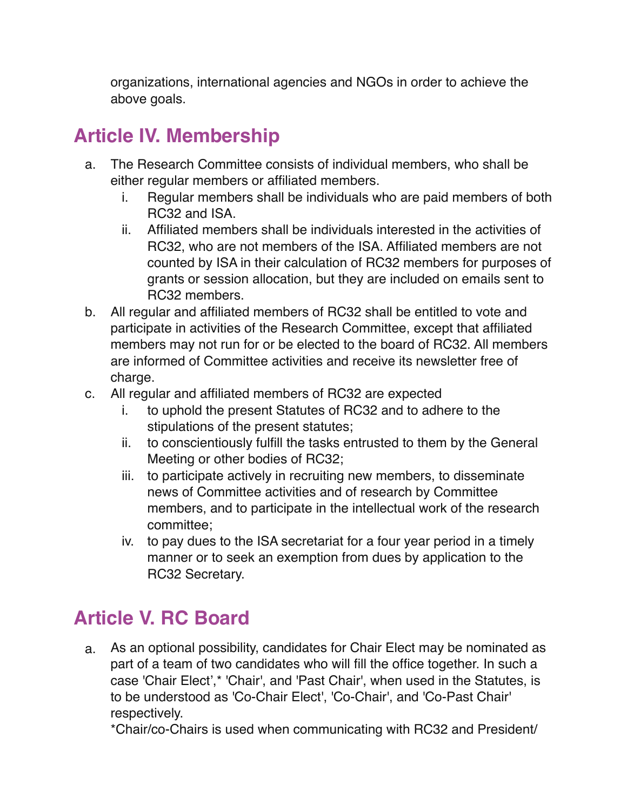organizations, international agencies and NGOs in order to achieve the above goals.

#### **Article IV. Membership**

- a. The Research Committee consists of individual members, who shall be either regular members or affiliated members.
	- i. Regular members shall be individuals who are paid members of both RC32 and ISA.
	- ii. Affiliated members shall be individuals interested in the activities of RC32, who are not members of the ISA. Affiliated members are not counted by ISA in their calculation of RC32 members for purposes of grants or session allocation, but they are included on emails sent to RC32 members.
- b. All regular and affiliated members of RC32 shall be entitled to vote and participate in activities of the Research Committee, except that affiliated members may not run for or be elected to the board of RC32. All members are informed of Committee activities and receive its newsletter free of charge.
- c. All regular and affiliated members of RC32 are expected
	- i. to uphold the present Statutes of RC32 and to adhere to the stipulations of the present statutes;
	- ii. to conscientiously fulfill the tasks entrusted to them by the General Meeting or other bodies of RC32;
	- iii. to participate actively in recruiting new members, to disseminate news of Committee activities and of research by Committee members, and to participate in the intellectual work of the research committee;
	- iv. to pay dues to the ISA secretariat for a four year period in a timely manner or to seek an exemption from dues by application to the RC32 Secretary.

#### **Article V. RC Board**

a. As an optional possibility, candidates for Chair Elect may be nominated as part of a team of two candidates who will fill the office together. In such a case 'Chair Elect',\* 'Chair', and 'Past Chair', when used in the Statutes, is to be understood as 'Co-Chair Elect', 'Co-Chair', and 'Co-Past Chair' respectively.

\*Chair/co-Chairs is used when communicating with RC32 and President/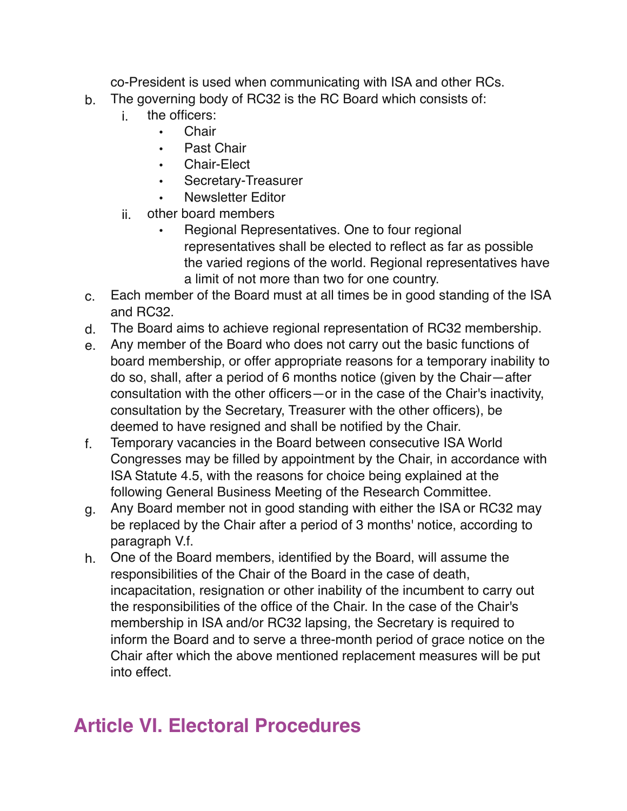co-President is used when communicating with ISA and other RCs.

- b. The governing body of RC32 is the RC Board which consists of:
	- i. the officers:
		- Chair
		- Past Chair
		- Chair-Elect
		- Secretary-Treasurer
		- Newsletter Editor
	- ii. other board members
		- Regional Representatives. One to four regional representatives shall be elected to reflect as far as possible the varied regions of the world. Regional representatives have a limit of not more than two for one country.
- c. Each member of the Board must at all times be in good standing of the ISA and RC32.
- d. The Board aims to achieve regional representation of RC32 membership.
- e. Any member of the Board who does not carry out the basic functions of board membership, or offer appropriate reasons for a temporary inability to do so, shall, after a period of 6 months notice (given by the Chair—after consultation with the other officers—or in the case of the Chair's inactivity, consultation by the Secretary, Treasurer with the other officers), be deemed to have resigned and shall be notified by the Chair.
- f. Temporary vacancies in the Board between consecutive ISA World Congresses may be filled by appointment by the Chair, in accordance with ISA Statute 4.5, with the reasons for choice being explained at the following General Business Meeting of the Research Committee.
- g. Any Board member not in good standing with either the ISA or RC32 may be replaced by the Chair after a period of 3 months' notice, according to paragraph V.f.
- h. One of the Board members, identified by the Board, will assume the responsibilities of the Chair of the Board in the case of death, incapacitation, resignation or other inability of the incumbent to carry out the responsibilities of the office of the Chair. In the case of the Chair's membership in ISA and/or RC32 lapsing, the Secretary is required to inform the Board and to serve a three-month period of grace notice on the Chair after which the above mentioned replacement measures will be put into effect.

#### **Article VI. Electoral Procedures**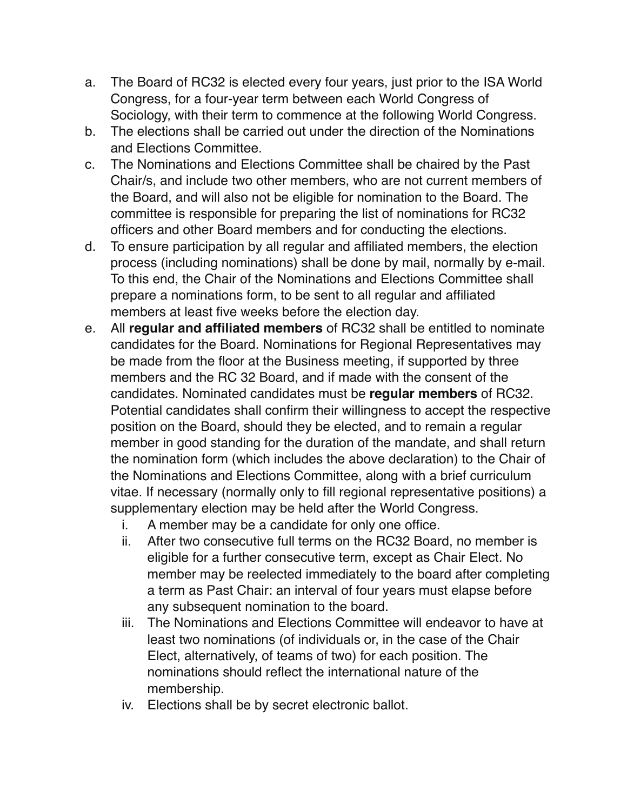- a. The Board of RC32 is elected every four years, just prior to the ISA World Congress, for a four-year term between each World Congress of Sociology, with their term to commence at the following World Congress.
- b. The elections shall be carried out under the direction of the Nominations and Elections Committee.
- c. The Nominations and Elections Committee shall be chaired by the Past Chair/s, and include two other members, who are not current members of the Board, and will also not be eligible for nomination to the Board. The committee is responsible for preparing the list of nominations for RC32 officers and other Board members and for conducting the elections.
- d. To ensure participation by all regular and affiliated members, the election process (including nominations) shall be done by mail, normally by e-mail. To this end, the Chair of the Nominations and Elections Committee shall prepare a nominations form, to be sent to all regular and affiliated members at least five weeks before the election day.
- e. All **regular and affiliated members** of RC32 shall be entitled to nominate candidates for the Board. Nominations for Regional Representatives may be made from the floor at the Business meeting, if supported by three members and the RC 32 Board, and if made with the consent of the candidates. Nominated candidates must be **regular members** of RC32. Potential candidates shall confirm their willingness to accept the respective position on the Board, should they be elected, and to remain a regular member in good standing for the duration of the mandate, and shall return the nomination form (which includes the above declaration) to the Chair of the Nominations and Elections Committee, along with a brief curriculum vitae. If necessary (normally only to fill regional representative positions) a supplementary election may be held after the World Congress.
	- i. A member may be a candidate for only one office.
	- ii. After two consecutive full terms on the RC32 Board, no member is eligible for a further consecutive term, except as Chair Elect. No member may be reelected immediately to the board after completing a term as Past Chair: an interval of four years must elapse before any subsequent nomination to the board.
	- iii. The Nominations and Elections Committee will endeavor to have at least two nominations (of individuals or, in the case of the Chair Elect, alternatively, of teams of two) for each position. The nominations should reflect the international nature of the membership.
	- iv. Elections shall be by secret electronic ballot.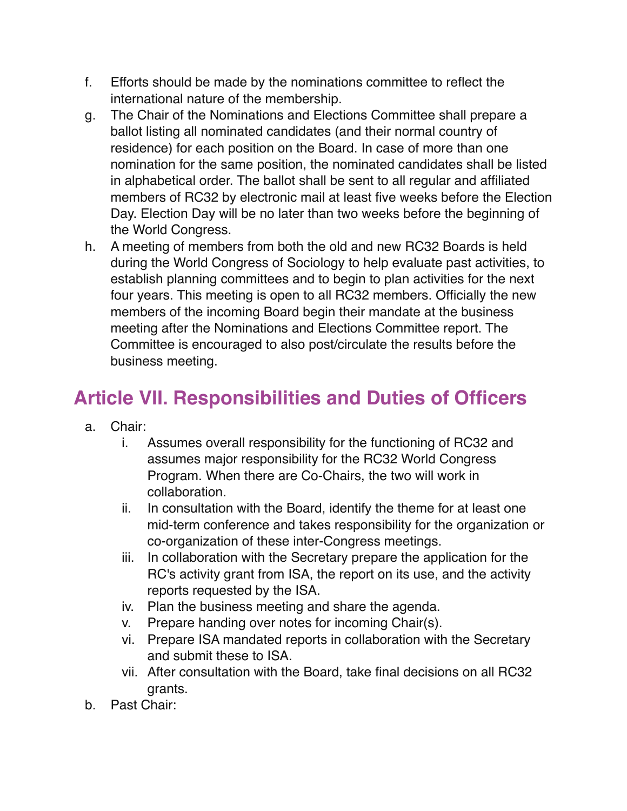- f. Efforts should be made by the nominations committee to reflect the international nature of the membership.
- g. The Chair of the Nominations and Elections Committee shall prepare a ballot listing all nominated candidates (and their normal country of residence) for each position on the Board. In case of more than one nomination for the same position, the nominated candidates shall be listed in alphabetical order. The ballot shall be sent to all regular and affiliated members of RC32 by electronic mail at least five weeks before the Election Day. Election Day will be no later than two weeks before the beginning of the World Congress.
- h. A meeting of members from both the old and new RC32 Boards is held during the World Congress of Sociology to help evaluate past activities, to establish planning committees and to begin to plan activities for the next four years. This meeting is open to all RC32 members. Officially the new members of the incoming Board begin their mandate at the business meeting after the Nominations and Elections Committee report. The Committee is encouraged to also post/circulate the results before the business meeting.

#### **Article VII. Responsibilities and Duties of Officers**

- a. Chair:
	- i. Assumes overall responsibility for the functioning of RC32 and assumes major responsibility for the RC32 World Congress Program. When there are Co-Chairs, the two will work in collaboration.
	- ii. In consultation with the Board, identify the theme for at least one mid-term conference and takes responsibility for the organization or co-organization of these inter-Congress meetings.
	- iii. In collaboration with the Secretary prepare the application for the RC's activity grant from ISA, the report on its use, and the activity reports requested by the ISA.
	- iv. Plan the business meeting and share the agenda.
	- v. Prepare handing over notes for incoming Chair(s).
	- vi. Prepare ISA mandated reports in collaboration with the Secretary and submit these to ISA.
	- vii. After consultation with the Board, take final decisions on all RC32 grants.
- b. Past Chair: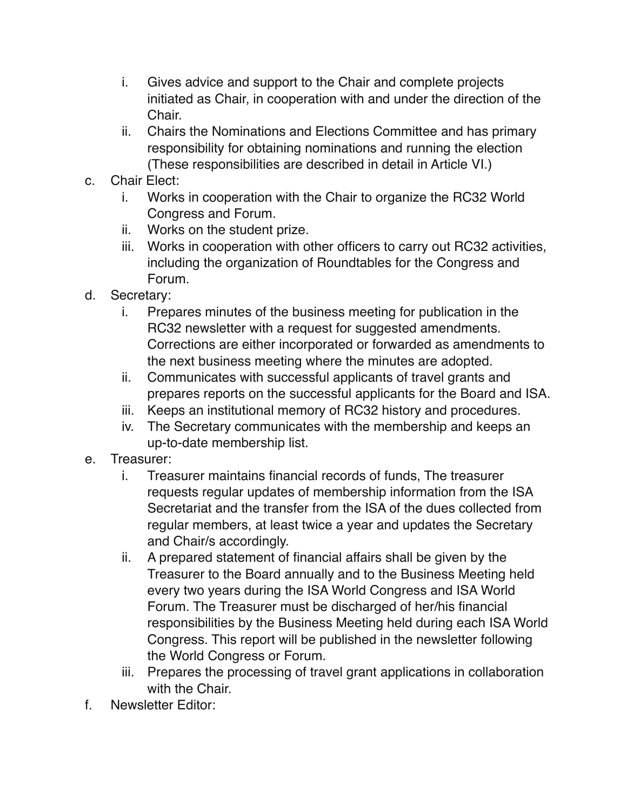- i. Gives advice and support to the Chair and complete projects initiated as Chair, in cooperation with and under the direction of the Chair.
- ii. Chairs the Nominations and Elections Committee and has primary responsibility for obtaining nominations and running the election (These responsibilities are described in detail in Article VI.)
- c. Chair Elect:
	- i. Works in cooperation with the Chair to organize the RC32 World Congress and Forum.
	- ii. Works on the student prize.
	- iii. Works in cooperation with other officers to carry out RC32 activities, including the organization of Roundtables for the Congress and Forum.
- d. Secretary:
	- i. Prepares minutes of the business meeting for publication in the RC32 newsletter with a request for suggested amendments. Corrections are either incorporated or forwarded as amendments to the next business meeting where the minutes are adopted.
	- ii. Communicates with successful applicants of travel grants and prepares reports on the successful applicants for the Board and ISA.
	- iii. Keeps an institutional memory of RC32 history and procedures.
	- iv. The Secretary communicates with the membership and keeps an up-to-date membership list.
- e. Treasurer:
	- i. Treasurer maintains financial records of funds, The treasurer requests regular updates of membership information from the ISA Secretariat and the transfer from the ISA of the dues collected from regular members, at least twice a year and updates the Secretary and Chair/s accordingly.
	- ii. A prepared statement of financial affairs shall be given by the Treasurer to the Board annually and to the Business Meeting held every two years during the ISA World Congress and ISA World Forum. The Treasurer must be discharged of her/his financial responsibilities by the Business Meeting held during each ISA World Congress. This report will be published in the newsletter following the World Congress or Forum.
	- iii. Prepares the processing of travel grant applications in collaboration with the Chair.
- f. Newsletter Editor: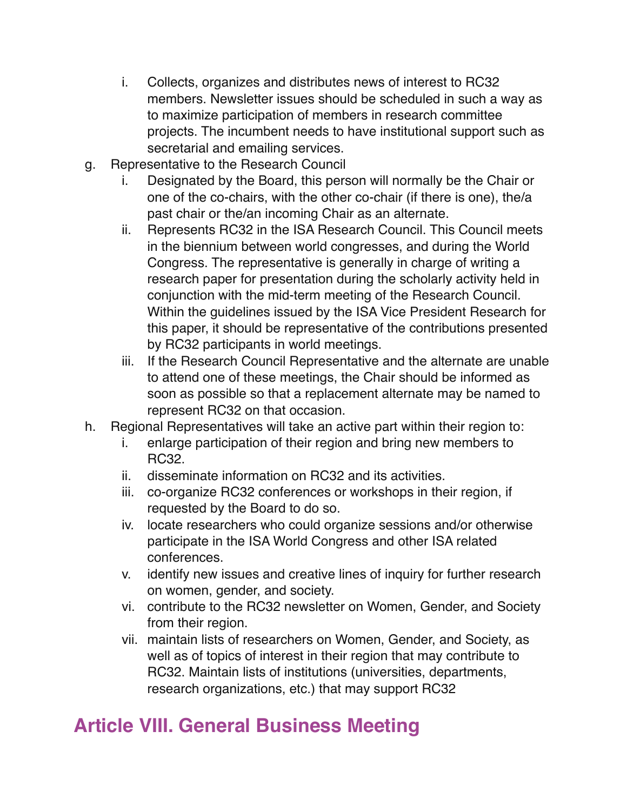- i. Collects, organizes and distributes news of interest to RC32 members. Newsletter issues should be scheduled in such a way as to maximize participation of members in research committee projects. The incumbent needs to have institutional support such as secretarial and emailing services.
- g. Representative to the Research Council
	- i. Designated by the Board, this person will normally be the Chair or one of the co-chairs, with the other co-chair (if there is one), the/a past chair or the/an incoming Chair as an alternate.
	- ii. Represents RC32 in the ISA Research Council. This Council meets in the biennium between world congresses, and during the World Congress. The representative is generally in charge of writing a research paper for presentation during the scholarly activity held in conjunction with the mid-term meeting of the Research Council. Within the guidelines issued by the ISA Vice President Research for this paper, it should be representative of the contributions presented by RC32 participants in world meetings.
	- iii. If the Research Council Representative and the alternate are unable to attend one of these meetings, the Chair should be informed as soon as possible so that a replacement alternate may be named to represent RC32 on that occasion.
- h. Regional Representatives will take an active part within their region to:
	- i. enlarge participation of their region and bring new members to RC32.
	- ii. disseminate information on RC32 and its activities.
	- iii. co-organize RC32 conferences or workshops in their region, if requested by the Board to do so.
	- iv. locate researchers who could organize sessions and/or otherwise participate in the ISA World Congress and other ISA related conferences.
	- v. identify new issues and creative lines of inquiry for further research on women, gender, and society.
	- vi. contribute to the RC32 newsletter on Women, Gender, and Society from their region.
	- vii. maintain lists of researchers on Women, Gender, and Society, as well as of topics of interest in their region that may contribute to RC32. Maintain lists of institutions (universities, departments, research organizations, etc.) that may support RC32

#### **Article VIII. General Business Meeting**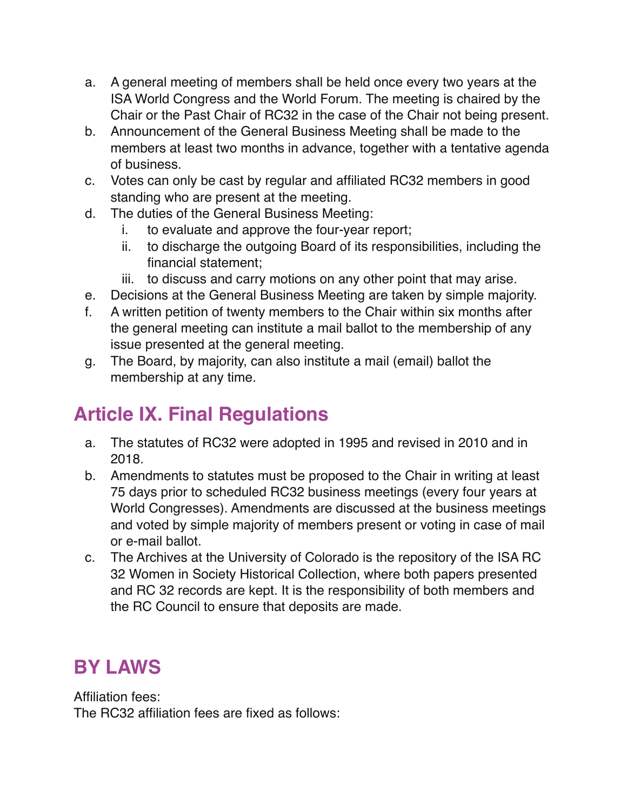- a. A general meeting of members shall be held once every two years at the ISA World Congress and the World Forum. The meeting is chaired by the Chair or the Past Chair of RC32 in the case of the Chair not being present.
- b. Announcement of the General Business Meeting shall be made to the members at least two months in advance, together with a tentative agenda of business.
- c. Votes can only be cast by regular and affiliated RC32 members in good standing who are present at the meeting.
- d. The duties of the General Business Meeting:
	- i. to evaluate and approve the four-year report;
	- ii. to discharge the outgoing Board of its responsibilities, including the financial statement;
	- iii. to discuss and carry motions on any other point that may arise.
- e. Decisions at the General Business Meeting are taken by simple majority.
- f. A written petition of twenty members to the Chair within six months after the general meeting can institute a mail ballot to the membership of any issue presented at the general meeting.
- g. The Board, by majority, can also institute a mail (email) ballot the membership at any time.

#### **Article IX. Final Regulations**

- a. The statutes of RC32 were adopted in 1995 and revised in 2010 and in 2018.
- b. Amendments to statutes must be proposed to the Chair in writing at least 75 days prior to scheduled RC32 business meetings (every four years at World Congresses). Amendments are discussed at the business meetings and voted by simple majority of members present or voting in case of mail or e-mail ballot.
- c. The Archives at the University of Colorado is the repository of the ISA RC 32 Women in Society Historical Collection, where both papers presented and RC 32 records are kept. It is the responsibility of both members and the RC Council to ensure that deposits are made.

#### **BY LAWS**

Affiliation fees: The RC32 affiliation fees are fixed as follows: